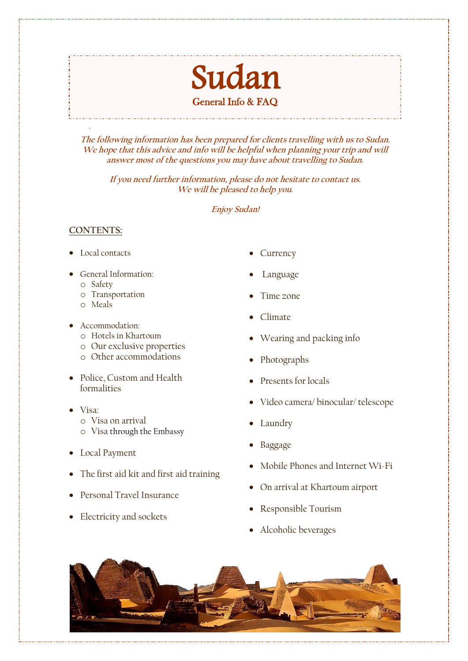# Suda<sup>®</sup> General Info & FAQ

**The following information has been prepared for clients travelling with us to Sudan. We hope that this advice and info will be helpful when planning your trip and will answer most of the questions you may have about travelling to Sudan.**

**If you need further information, please do not hesitate to contact us. We will be pleased to help you.**

**Enjoy Sudan!**

# **CONTENTS:**

- Local contacts
- General Information:
	- o Safety
	- o Transportation
	- o Meals
- Accommodation:
	- o Hotels in Khartoum
	- o Our exclusive properties
	- o Other accommodations
- Police, Custom and Health formalities
- Visa:
	- o Visa on arrival
	- o Visa through the Embassy
- Local Payment
- The first aid kit and first aid training
- Personal Travel Insurance
- Electricity and sockets
- **Currency**
- Language
- Time zone
- Climate
- Wearing and packing info
- Photographs
- Presents for locals
- Video camera/ binocular/ telescope
- Laundry
- Baggage
- Mobile Phones and Internet Wi-Fi
- On arrival at Khartoum airport
- Responsible Tourism
- Alcoholic beverages

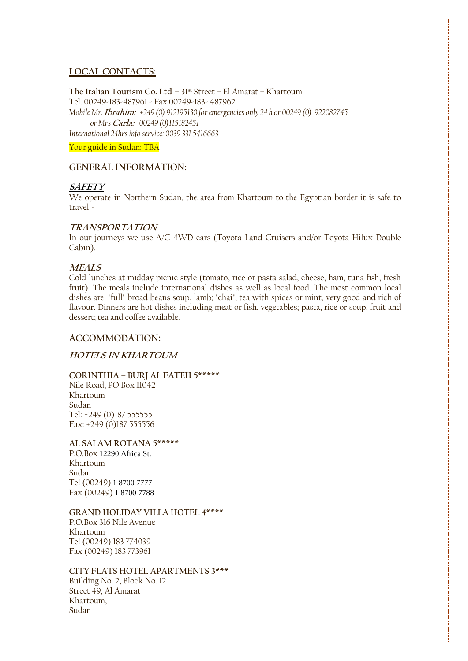## **LOCAL CONTACTS:**

**The Italian Tourism Co. Ltd –** 31st Street – El Amarat – Khartoum Tel. 00249-183-487961 - Fax 00249-183- 487962 *Mobile Mr.* **Ibrahim:** *+249 (0) 912195130 for emergencies only 24 h or 00249 (0) 922082745 or Mrs* **Carla:** *00249 (0)115182451 International 24hrs info service: 0039 331 5416663*

Your guide in Sudan: TBA

# **GENERAL INFORMATION:**

#### **SAFETY**

We operate in Northern Sudan, the area from Khartoum to the Egyptian border it is safe to travel -

#### **TRANSPORTATION**

In our journeys we use A/C 4WD cars (Toyota Land Cruisers and/or Toyota Hilux Double Cabin).

## **MEALS**

Cold lunches at midday picnic style (tomato, rice or pasta salad, cheese, ham, tuna fish, fresh fruit). The meals include international dishes as well as local food. The most common local dishes are: "full" broad beans soup, lamb; "chai", tea with spices or mint, very good and rich of flavour. Dinners are hot dishes including meat or fish, vegetables; pasta, rice or soup; fruit and dessert; tea and coffee available.

## **ACCOMMODATION:**

## **HOTELS IN KHARTOUM**

# **CORINTHIA – BURJ AL FATEH 5\*\*\*\*\***

Nile Road, PO Box 11042 Khartoum Sudan Tel: +249 (0)187 555555 Fax: +249 (0)187 555556

#### **AL SALAM ROTANA 5\*\*\*\*\***

P.O.Box 12290 Africa St. Khartoum Sudan Tel (00249) 1 8700 7777 Fax (00249) 1 8700 7788

#### **GRAND HOLIDAY VILLA HOTEL 4\*\*\*\***

P.O.Box 316 Nile Avenue Khartoum Tel (00249) 183 774039 Fax (00249) 183 773961

## **CITY FLATS HOTEL APARTMENTS 3\*\*\***

Building No. 2, Block No. 12 Street 49, Al Amarat Khartoum, Sudan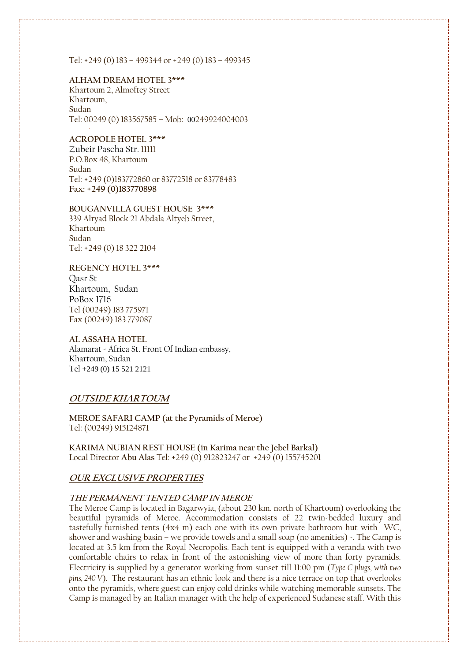Tel: +249 (0) 183 – 499344 or +249 (0) 183 – 499345

#### **ALHAM DREAM HOTEL 3\*\*\***

Khartoum 2, Almoftey Street Khartoum, Sudan Tel: 00249 (0) 183567585 – Mob: 00249924004003

#### **ACROPOLE HOTEL 3\*\*\***

Zubeir Pascha Str. 11111 P.O.Box 48, Khartoum Sudan Tel: +249 (0)183772860 or 83772518 or 83778483 **Fax: +249 (0)183770898**

#### **BOUGANVILLA GUEST HOUSE 3\*\*\***

339 Alryad Block 21 Abdala Altyeb Street, Khartoum Sudan Tel: +249 (0) 18 322 2104

#### **REGENCY HOTEL 3\*\*\***

Qasr St Khartoum, Sudan PoBox 1716 Tel (00249) 183 775971 Fax (00249) 183 779087

## **AL ASSAHA HOTEL**

Alamarat - Africa St. Front Of Indian embassy, Khartoum, Sudan Tel [+249 \(0\) 15 521 2121](https://www.google.it/search?q=assaha+restaurant+khartoum&ie=utf-8&oe=utf-8&client=firefox-b-ab&gfe_rd=cr&dcr=0&ei=VKt9WvLMKIOaX4vJhMAN)

## **OUTSIDE KHARTOUM**

**MEROE SAFARI CAMP (at the Pyramids of Meroe)** Tel: (00249) 915124871

**KARIMA NUBIAN REST HOUSE (in Karima near the Jebel Barkal)** Local Director **Abu Alas** Tel: +249 (0) 912823247 or +249 (0) 155745201

## **OUR EXCLUSIVE PROPERTIES**

#### **THE PERMANENT TENTED CAMP IN MEROE**

The Meroe Camp is located in Bagarwyia, (about 230 km. north of Khartoum) overlooking the beautiful pyramids of Meroe. Accommodation consists of 22 twin-bedded luxury and tastefully furnished tents (4x4 m) each one with its own private bathroom hut with WC, shower and washing basin – we provide towels and a small soap (no amenities) -. The Camp is located at 3.5 km from the Royal Necropolis. Each tent is equipped with a veranda with two comfortable chairs to relax in front of the astonishing view of more than forty pyramids. Electricity is supplied by a generator working from sunset till 11:00 pm (*Type C plugs, with two pins, 240 V*). The restaurant has an ethnic look and there is a nice terrace on top that overlooks onto the pyramids, where guest can enjoy cold drinks while watching memorable sunsets. The Camp is managed by an Italian manager with the help of experienced Sudanese staff. With this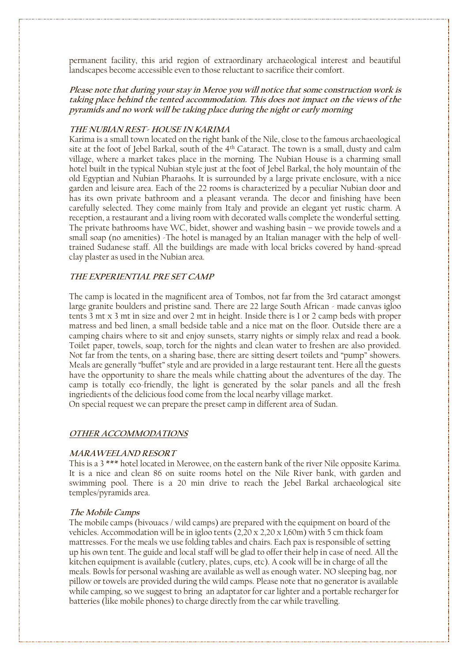permanent facility, this arid region of extraordinary archaeological interest and beautiful landscapes become accessible even to those reluctant to sacrifice their comfort.

## **Please note that during your stay in Meroe you will notice that some construction work is taking place behind the tented accommodation. This does not impact on the views of the pyramids and no work will be taking place during the night or early morning**

#### **THE NUBIAN REST- HOUSE IN KARIMA**

Karima is a small town located on the right bank of the Nile, close to the famous archaeological site at the foot of Jebel Barkal, south of the 4<sup>th</sup> Cataract. The town is a small, dusty and calm village, where a market takes place in the morning. The Nubian House is a charming small hotel built in the typical Nubian style just at the foot of Jebel Barkal, the holy mountain of the old Egyptian and Nubian Pharaohs. It is surrounded by a large private enclosure, with a nice garden and leisure area. Each of the 22 rooms is characterized by a peculiar Nubian door and has its own private bathroom and a pleasant veranda. The decor and finishing have been carefully selected. They come mainly from Italy and provide an elegant yet rustic charm. A reception, a restaurant and a living room with decorated walls complete the wonderful setting. The private bathrooms have WC, bidet, shower and washing basin – we provide towels and a small soap (no amenities) -The hotel is managed by an Italian manager with the help of welltrained Sudanese staff. All the buildings are made with local bricks covered by hand-spread clay plaster as used in the Nubian area.

## **THE EXPERIENTIAL PRE SET CAMP**

The camp is located in the magnificent area of Tombos, not far from the 3rd cataract amongst large granite boulders and pristine sand. There are 22 large South African - made canvas igloo tents 3 mt x 3 mt in size and over 2 mt in height. Inside there is 1 or 2 camp beds with proper matress and bed linen, a small bedside table and a nice mat on the floor. Outside there are a camping chairs where to sit and enjoy sunsets, starry nights or simply relax and read a book. Toilet paper, towels, soap, torch for the nights and clean water to freshen are also provided. Not far from the tents, on a sharing base, there are sitting desert toilets and "pump" showers. Meals are generally "buffet" style and are provided in a large restaurant tent. Here all the guests have the opportunity to share the meals while chatting about the adventures of the day. The camp is totally eco-friendly, the light is generated by the solar panels and all the fresh ingriedients of the delicious food come from the local nearby village market. On special request we can prepare the preset camp in different area of Sudan.

# **OTHER ACCOMMODATIONS**

#### **MARAWEELAND RESORT**

This is a 3 \*\*\* hotel located in Merowee, on the eastern bank of the river Nile opposite Karima. It is a nice and clean 86 on suite rooms hotel on the Nile River bank, with garden and swimming pool. There is a 20 min drive to reach the Jebel Barkal archaeological site temples/pyramids area.

#### **The Mobile Camps**

The mobile camps (bivouacs / wild camps) are prepared with the equipment on board of the vehicles. Accommodation will be in igloo tents  $(2,20 \times 2,20 \times 1,60 \text{m})$  with 5 cm thick foam mattresses. For the meals we use folding tables and chairs. Each pax is responsible of setting up his own tent. The guide and local staff will be glad to offer their help in case of need. All the kitchen equipment is available (cutlery, plates, cups, etc). A cook will be in charge of all the meals. Bowls for personal washing are available as well as enough water**.** NO sleeping bag, nor pillow or towels are provided during the wild camps. Please note that no generator is available while camping, so we suggest to bring an adaptator for car lighter and a portable recharger for batteries (like mobile phones) to charge directly from the car while travelling.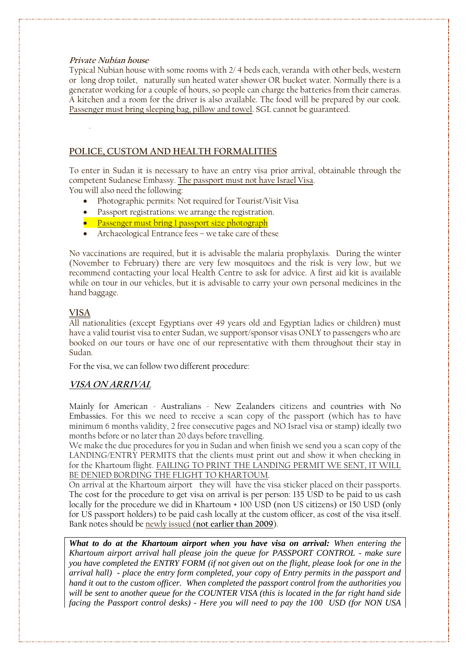## **Private Nubian house**

Typical Nubian house with some rooms with 2/ 4 beds each, veranda with other beds, western or long drop toilet, naturally sun heated water shower OR bucket water. Normally there is a generator working for a couple of hours, so people can charge the batteries from their cameras. A kitchen and a room for the driver is also available. The food will be prepared by our cook. Passenger must bring sleeping bag, pillow and towel. SGL cannot be guaranteed.

# **POLICE, CUSTOM AND HEALTH FORMALITIES**

To enter in Sudan it is necessary to have an entry visa prior arrival, obtainable through the competent Sudanese Embassy. The passport must not have Israel Visa. You will also need the following:

- Photographic permits: Not required for Tourist/Visit Visa
- Passport registrations: we arrange the registration.
- Passenger must bring I passport size photograph
- Archaeological Entrance fees we take care of these

No vaccinations are required, but it is advisable the malaria prophylaxis. During the winter (November to February) there are very few mosquitoes and the risk is very low, but we recommend contacting your local Health Centre to ask for advice. A first aid kit is available while on tour in our vehicles, but it is advisable to carry your own personal medicines in the hand baggage.

# **VISA**

All nationalities (except Egyptians over 49 years old and Egyptian ladies or children) must have a valid tourist visa to enter Sudan, we support/sponsor visas ONLY to passengers who are booked on our tours or have one of our representative with them throughout their stay in Sudan.

For the visa, we can follow two different procedure:

# **VISA ON ARRIVAL**

Mainly for American - Australians - New Zealanders citizens and countries with No Embassies. For this we need to receive a scan copy of the passport (which has to have minimum 6 months validity, 2 free consecutive pages and NO Israel visa or stamp) ideally two months before or no later than 20 days before travelling.

We make the due procedures for you in Sudan and when finish we send you a scan copy of the LANDING/ENTRY PERMITS that the clients must print out and show it when checking in for the Khartoum flight. FAILING TO PRINT THE LANDING PERMIT WE SENT, IT WILL BE DENIED BORDING THE FLIGHT TO KHARTOUM.

On arrival at the Khartoum airport they will have the visa sticker placed on their passports. The cost for the procedure to get visa on arrival is per person: 135 USD to be paid to us cash locally for the procedure we did in Khartoum + 100 USD (non US citizens) or 150 USD (only for US passport holders) to be paid cash locally at the custom officer, as cost of the visa itself. Bank notes should be newly issued (**not earlier than 2009**).

*What to do at the Khartoum airport when you have visa on arrival: When entering the Khartoum airport arrival hall please join the queue for PASSPORT CONTROL - make sure you have completed the ENTRY FORM (if not given out on the flight, please look for one in the arrival hall) - place the entry form completed, your copy of Entry permits in the passport and hand it out to the custom officer. When completed the passport control from the authorities you will be sent to another queue for the COUNTER VISA (this is located in the far right hand side facing the Passport control desks) - Here you will need to pay the 100 USD (for NON USA*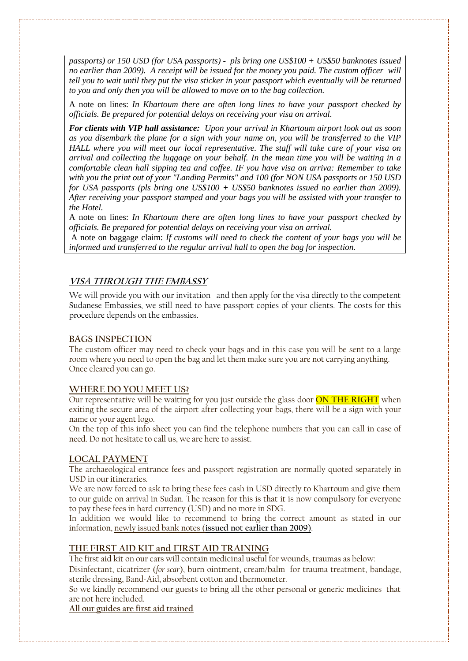*passports) or 150 USD (for USA passports) - pls bring one US\$100 + US\$50 banknotes issued no earlier than 2009). A receipt will be issued for the money you paid. The custom officer will tell you to wait until they put the visa sticker in your passport which eventually will be returned to you and only then you will be allowed to move on to the bag collection.*

A note on lines: *In Khartoum there are often long lines to have your passport checked by officials. Be prepared for potential delays on receiving your visa on arrival.* 

*For clients with VIP hall assistance: Upon your arrival in Khartoum airport look out as soon as you disembark the plane for a sign with your name on, you will be transferred to the VIP HALL where you will meet our local representative. The staff will take care of your visa on arrival and collecting the luggage on your behalf. In the mean time you will be waiting in a comfortable clean hall sipping tea and coffee. IF you have visa on arriva: Remember to take with you the print out of your "Landing Permits" and 100 (for NON USA passports or 150 USD for USA passports (pls bring one US\$100 + US\$50 banknotes issued no earlier than 2009). After receiving your passport stamped and your bags you will be assisted with your transfer to the Hotel.* 

A note on lines: *In Khartoum there are often long lines to have your passport checked by officials. Be prepared for potential delays on receiving your visa on arrival.* 

A note on baggage claim: *If customs will need to check the content of your bags you will be informed and transferred to the regular arrival hall to open the bag for inspection.* 

# **VISA THROUGH THE EMBASSY**

We will provide you with our invitation and then apply for the visa directly to the competent Sudanese Embassies, we still need to have passport copies of your clients. The costs for this procedure depends on the embassies.

## **BAGS INSPECTION**

The custom officer may need to check your bags and in this case you will be sent to a large room where you need to open the bag and let them make sure you are not carrying anything. Once cleared you can go.

## **WHERE DO YOU MEET US?**

Our representative will be waiting for you just outside the glass door **ON THE RIGHT** when exiting the secure area of the airport after collecting your bags, there will be a sign with your name or your agent logo.

On the top of this info sheet you can find the telephone numbers that you can call in case of need. Do not hesitate to call us, we are here to assist.

## **LOCAL PAYMENT**

The archaeological entrance fees and passport registration are normally quoted separately in USD in our itineraries.

We are now forced to ask to bring these fees cash in USD directly to Khartoum and give them to our guide on arrival in Sudan. The reason for this is that it is now compulsory for everyone to pay these fees in hard currency (USD) and no more in SDG.

In addition we would like to recommend to bring the correct amount as stated in our information, newly issued bank notes (**issued not earlier than 2009**).

## **THE FIRST AID KIT and FIRST AID TRAINING**

The first aid kit on our cars will contain medicinal useful for wounds, traumas as below:

Disinfectant, cicatrizer (*for scar*), burn ointment, cream/balm for trauma treatment, bandage, sterile dressing, Band-Aid, absorbent cotton and thermometer.

So we kindly recommend our guests to bring all the other personal or generic medicines that are not here included.

# **All our guides are first aid trained**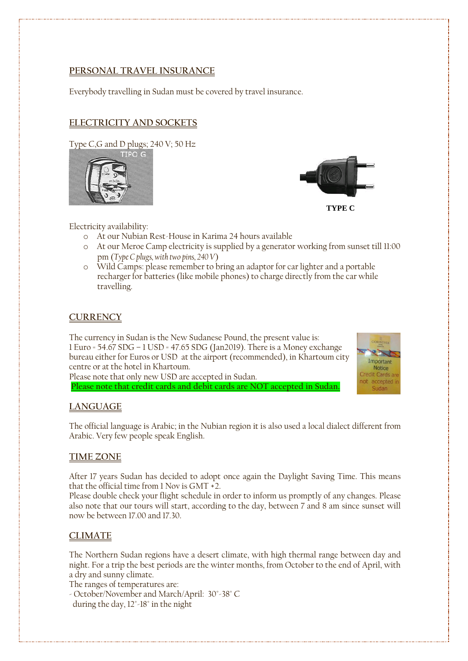# **PERSONAL TRAVEL INSURANCE**

Everybody travelling in Sudan must be covered by travel insurance.

# **ELECTRICITY AND SOCKETS**

Type C,G and D plugs; 240 V; 50 Hz





Electricity availability:

- o At our Nubian Rest-House in Karima 24 hours available
- o At our Meroe Camp electricity is supplied by a generator working from sunset till 11:00 pm (*Type C plugs, with two pins, 240 V*)
- o Wild Camps: please remember to bring an adaptor for car lighter and a portable recharger for batteries (like mobile phones) to charge directly from the car while travelling.

# **CURRENCY**

The currency in Sudan is the New Sudanese Pound, the present value is: 1 Euro = 54.67 SDG – 1 USD = 47.65 SDG (Jan2019). There is a Money exchange bureau either for Euros or USD at the airport (recommended), in Khartoum city centre or at the hotel in Khartoum.



Please note that only new USD are accepted in Sudan.

**Please note that credit cards and debit cards are NOT accepted in Sudan.**

# **LANGUAGE**

The official language is Arabic; in the Nubian region it is also used a local dialect different from Arabic. Very few people speak English.

# **TIME ZONE**

After 17 years Sudan has decided to adopt once again the Daylight Saving Time. This means that the official time from 1 Nov is GMT +2.

Please double check your flight schedule in order to inform us promptly of any changes. Please also note that our tours will start, according to the day, between 7 and 8 am since sunset will now be between 17.00 and 17.30.

# **CLIMATE**

The Northern Sudan regions have a desert climate, with high thermal range between day and night. For a trip the best periods are the winter months, from October to the end of April, with a dry and sunny climate.

The ranges of temperatures are:

- October/November and March/April: 30°-38° C

during the day, 12°-18° in the night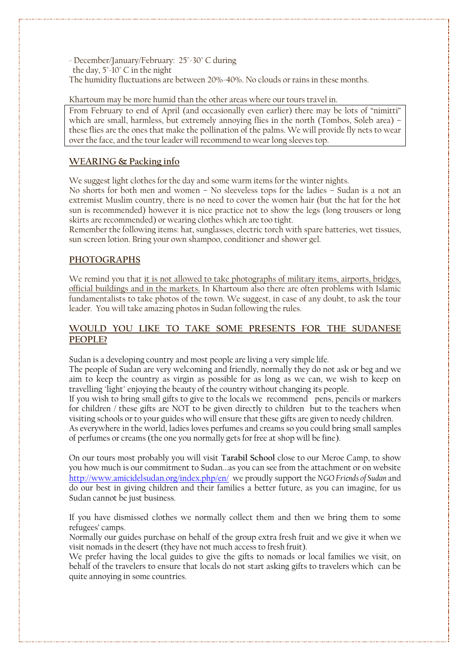- December/January/February: 25°-30° C during the day, 5°-10° C in the night The humidity fluctuations are between 20%-40%. No clouds or rains in these months.

Khartoum may be more humid than the other areas where our tours travel in.

From February to end of April (and occasionally even earlier) there may be lots of "nimitti" which are small, harmless, but extremely annoying flies in the north (Tombos, Soleb area) – these flies are the ones that make the pollination of the palms. We will provide fly nets to wear over the face, and the tour leader will recommend to wear long sleeves top.

# **WEARING & Packing info**

We suggest light clothes for the day and some warm items for the winter nights.

No shorts for both men and women – No sleeveless tops for the ladies – Sudan is a not an extremist Muslim country, there is no need to cover the women hair (but the hat for the hot sun is recommended) however it is nice practice not to show the legs (long trousers or long skirts are recommended) or wearing clothes which are too tight.

Remember the following items: hat, sunglasses, electric torch with spare batteries, wet tissues, sun screen lotion. Bring your own shampoo, conditioner and shower gel.

## **PHOTOGRAPHS**

We remind you that it is not allowed to take photographs of military items, airports, bridges, official buildings and in the markets. In Khartoum also there are often problems with Islamic fundamentalists to take photos of the town. We suggest, in case of any doubt, to ask the tour leader. You will take amazing photos in Sudan following the rules.

# **WOULD YOU LIKE TO TAKE SOME PRESENTS FOR THE SUDANESE PEOPLE?**

Sudan is a developing country and most people are living a very simple life.

The people of Sudan are very welcoming and friendly, normally they do not ask or beg and we aim to keep the country as virgin as possible for as long as we can, we wish to keep on travelling "light" enjoying the beauty of the country without changing its people.

If you wish to bring small gifts to give to the locals we recommend pens, pencils or markers for children / these gifts are NOT to be given directly to children but to the teachers when visiting schools or to your guides who will ensure that these gifts are given to needy children.

As everywhere in the world, ladies loves perfumes and creams so you could bring small samples of perfumes or creams (the one you normally gets for free at shop will be fine).

On our tours most probably you will visit **Tarabil School** close to our Meroe Camp, to show you how much is our commitment to Sudan...as you can see from the attachment or on website <http://www.amicidelsudan.org/index.php/en/> we proudly support the *NGO Friends of Sudan* and do our best in giving children and their families a better future, as you can imagine, for us Sudan cannot be just business.

If you have dismissed clothes we normally collect them and then we bring them to some refugees' camps.

Normally our guides purchase on behalf of the group extra fresh fruit and we give it when we visit nomads in the desert (they have not much access to fresh fruit).

We prefer having the local guides to give the gifts to nomads or local families we visit, on behalf of the travelers to ensure that locals do not start asking gifts to travelers which can be quite annoying in some countries.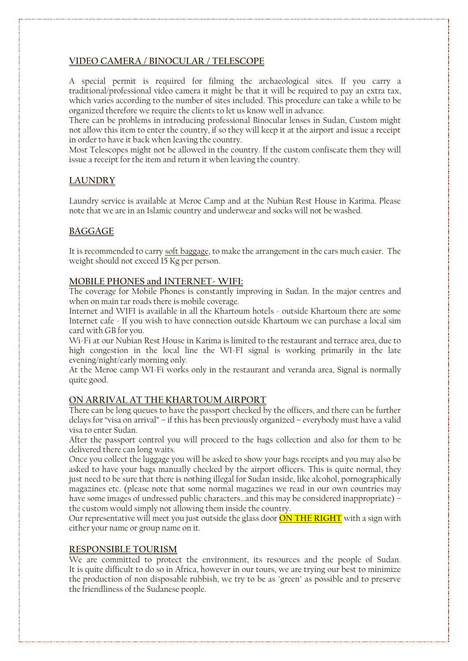# **VIDEO CAMERA / BINOCULAR / TELESCOPE**

A special permit is required for filming the archaeological sites. If you carry a traditional/professional video camera it might be that it will be required to pay an extra tax, which varies according to the number of sites included. This procedure can take a while to be organized therefore we require the clients to let us know well in advance.

There can be problems in introducing professional Binocular lenses in Sudan, Custom might not allow this item to enter the country, if so they will keep it at the airport and issue a receipt in order to have it back when leaving the country.

Most Telescopes might not be allowed in the country. If the custom confiscate them they will issue a receipt for the item and return it when leaving the country.

# **LAUNDRY**

Laundry service is available at Meroe Camp and at the Nubian Rest House in Karima. Please note that we are in an Islamic country and underwear and socks will not be washed.

# **BAGGAGE**

It is recommended to carry soft baggage, to make the arrangement in the cars much easier. The weight should not exceed 15 Kg per person.

## **MOBILE PHONES and INTERNET- WIFI:**

The coverage for Mobile Phones is constantly improving in Sudan. In the major centres and when on main tar roads there is mobile coverage.

Internet and WIFI is available in all the Khartoum hotels - outside Khartoum there are some Internet cafe - If you wish to have connection outside Khartoum we can purchase a local sim card with GB for you.

Wi-Fi at our Nubian Rest House in Karima is limited to the restaurant and terrace area, due to high congestion in the local line the WI-FI signal is working primarily in the late evening/night/early morning only.

At the Meroe camp WI-Fi works only in the restaurant and veranda area, Signal is normally quite good.

# **ON ARRIVAL AT THE KHARTOUM AIRPORT**

There can be long queues to have the passport checked by the officers, and there can be further delays for "visa on arrival" – if this has been previously organized – everybody must have a valid visa to enter Sudan.

After the passport control you will proceed to the bags collection and also for them to be delivered there can long waits.

Once you collect the luggage you will be asked to show your bags receipts and you may also be asked to have your bags manually checked by the airport officers. This is quite normal, they just need to be sure that there is nothing illegal for Sudan inside, like alcohol, pornographically magazines etc. (please note that some normal magazines we read in our own countries may have some images of undressed public characters...and this may be considered inappropriate) – the custom would simply not allowing them inside the country.

Our representative will meet you just outside the glass door **ON THE RIGHT** with a sign with either your name or group name on it.

## **RESPONSIBLE TOURISM**

We are committed to protect the environment, its resources and the people of Sudan. It is quite difficult to do so in Africa, however in our tours, we are trying our best to minimize the production of non disposable rubbish, we try to be as "green" as possible and to preserve the friendliness of the Sudanese people.